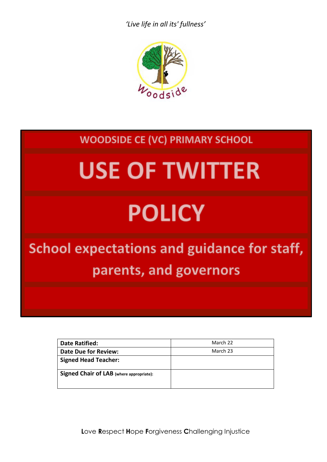

### **WOODSIDE CE (VC) PRIMARY SCHOOL**

# **USE OF TWITTER**

## **POLICY**

### **School expectations and guidance for staff,** parents, and governors

| <b>Date Ratified:</b>                    | March 22 |
|------------------------------------------|----------|
| <b>Date Due for Review:</b>              | March 23 |
| <b>Signed Head Teacher:</b>              |          |
| Signed Chair of LAB (where appropriate): |          |

**L**ove **R**espect **H**ope **F**orgiveness **C**hallenging Injustice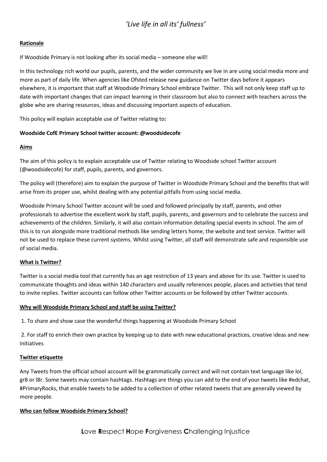#### **Rationale**

If Woodside Primary is not looking after its social media – someone else will!

In this technology rich world our pupils, parents, and the wider community we live in are using social media more and more as part of daily life. When agencies like Ofsted release new guidance on Twitter days before it appears elsewhere, it is important that staff at Woodside Primary School embrace Twitter. This will not only keep staff up to date with important changes that can impact learning in their classroom but also to connect with teachers across the globe who are sharing resources, ideas and discussing important aspects of education.

This policy will explain acceptable use of Twitter relating to**:**

#### **Woodside CofE Primary School twitter account: @woodsidecofe**

#### **Aims**

The aim of this policy is to explain acceptable use of Twitter relating to Woodside school Twitter account (@woodsidecofe) for staff, pupils, parents, and governors.

The policy will (therefore) aim to explain the purpose of Twitter in Woodside Primary School and the benefits that will arise from its proper use, whilst dealing with any potential pitfalls from using social media.

Woodside Primary School Twitter account will be used and followed principally by staff, parents, and other professionals to advertise the excellent work by staff, pupils, parents, and governors and to celebrate the success and achievements of the children. Similarly, it will also contain information detailing special events in school. The aim of this is to run alongside more traditional methods like sending letters home, the website and text service. Twitter will not be used to replace these current systems. Whilst using Twitter, all staff will demonstrate safe and responsible use of social media.

#### **What is Twitter?**

Twitter is a social media tool that currently has an age restriction of 13 years and above for its use. Twitter is used to communicate thoughts and ideas within 140 characters and usually references people, places and activities that tend to invite replies. Twitter accounts can follow other Twitter accounts or be followed by other Twitter accounts.

#### **Why will Woodside Primary School and staff be using Twitter?**

1. To share and show case the wonderful things happening at Woodside Primary School

2. For staff to enrich their own practice by keeping up to date with new educational practices, creative ideas and new initiatives

#### **Twitter etiquette**

Any Tweets from the official school account will be grammatically correct and will not contain text language like lol, gr8 or l8r. Some tweets may contain hashtags. Hashtags are things you can add to the end of your tweets like #edchat, #PrimaryRocks, that enable tweets to be added to a collection of other related tweets that are generally viewed by more people.

#### **Who can follow Woodside Primary School?**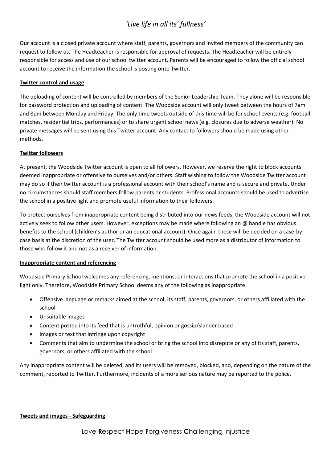Our account is a closed private account where staff, parents, governors and invited members of the community can request to follow us. The Headteacher is responsible for approval of requests. The Headteacher will be entirely responsible for access and use of our school twitter account. Parents will be encouraged to follow the official school account to receive the information the school is posting onto Twitter.

#### **Twitter control and usage**

The uploading of content will be controlled by members of the Senior Leadership Team. They alone will be responsible for password protection and uploading of content. The Woodside account will only tweet between the hours of 7am and 8pm between Monday and Friday. The only time tweets outside of this time will be for school events (e.g. football matches, residential trips, performances) or to share urgent school news (e.g. closures due to adverse weather). No private messages will be sent using this Twitter account. Any contact to followers should be made using other methods.

#### **Twitter followers**

At present, the Woodside Twitter account is open to all followers. However, we reserve the right to block accounts deemed inappropriate or offensive to ourselves and/or others. Staff wishing to follow the Woodside Twitter account may do so if their twitter account is a professional account with their school's name and is secure and private. Under no circumstances should staff members follow parents or students. Professional accounts should be used to advertise the school in a positive light and promote useful information to their followers.

To protect ourselves from inappropriate content being distributed into our news feeds, the Woodside account will not actively seek to follow other users. However, exceptions may be made where following an @ handle has obvious benefits to the school (children's author or an educational account). Once again, these will be decided on a case-bycase basis at the discretion of the user. The Twitter account should be used more as a distributor of information to those who follow it and not as a receiver of information.

#### **Inappropriate content and referencing**

Woodside Primary School welcomes any referencing, mentions, or interactions that promote the school in a positive light only. Therefore, Woodside Primary School deems any of the following as inappropriate:

- Offensive language or remarks aimed at the school, its staff, parents, governors, or others affiliated with the school
- Unsuitable images
- Content posted into its feed that is untruthful, opinion or gossip/slander based
- Images or text that infringe upon copyright
- Comments that aim to undermine the school or bring the school into disrepute or any of its staff, parents, governors, or others affiliated with the school

Any inappropriate content will be deleted, and its users will be removed, blocked, and, depending on the nature of the comment, reported to Twitter. Furthermore, incidents of a more serious nature may be reported to the police.

#### **Tweets and images - Safeguarding**